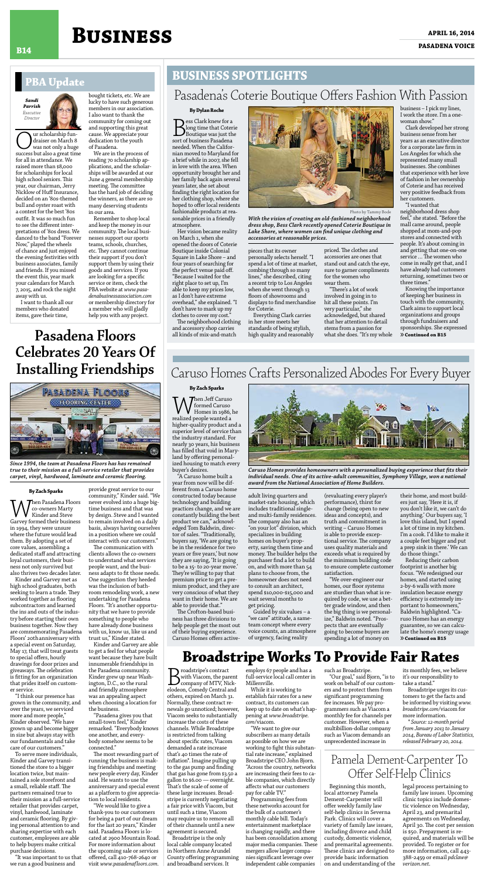### **April 16, 2014 Business pasadena voice B14**

#### **By Dylan Roche**

**B**ess Clark knew for a<br>Boutique was just the<br>sort of business Pasadena long time that Coterie Boutique was just the needed. When the Californian moved to Maryland for a brief while in 2007, she fell in love with the area. When opportunity brought her and her family back again several years later, she set about finding the right location for her clothing shop, where she hoped to offer local residents fashionable products at reasonable prices in a friendly atmosphere.

Her vision became reality on March 1, when she opened the doors of Coterie Boutique inside Colonial Square in Lake Shore – and four years of searching for the perfect venue paid off. "Because I waited for the right place to set up, I'm able to keep my prices low, as I don't have extreme overhead," she explained. "I don't have to mark up my clothes to cover my cost."

The neighborhood clothing and accessory shop carries all kinds of mix-and-match

pieces that its owner personally selects herself. "I spend a lot of time at market, combing through so many lines," she described, citing a recent trip to Los Angeles when she went through 13 floors of showrooms and displays to find merchandise for Coterie.

Everything Clark carries in her store meets her standards of being stylish, high quality and reasonably priced. The clothes and accessories are ones that stand out and catch the eye, sure to garner compliments for the women who wear them.

"There's a lot of work involved in going in to hit all these points. I'm very particular," she acknowledged, but shared that her attention to detail stems from a passion for what she does. "It's my whole business – I pick my lines, I work the store. I'm a onewoman show."

Clark developed her strong business sense from her years as an executive director for a corporate law firm in Los Angeles for which she represented many small businesses. She combines that experience with her love of fashion in her ownership of Coterie and has received very positive feedback from her customers.

"I wanted that neighborhood dress shop feel," she stated. "Before the mall came around, people shopped at mom-and-pop stores and connected with people. It's about coming in and getting that one-on-one service … The women who come in really get that, and I have already had customers returning, sometimes two or three times."

Pasadena's Coterie Boutique Offers Fashion With Passion



*With the vision of creating an old-fashioned neighborhood dress shop, Bess Clark recently opened Coterie Boutique in Lake Shore, where women can find unique clothing and accessories at reasonable prices.*

#### **By Zach Sparks**

When Jeff Caruso realized people wanted a formed Caruso Homes in 1986, he higher-quality product and a superior level of service than the industry standard. For nearly 30 years, his business has filled that void in Maryland by offering personalized housing to match every buyer's desires.

"A Caruso home built a year from now will be different from a Caruso home constructed today because technology and building practices change, and we are constantly building the best product we can," acknowledged Tom Baldwin, director of sales. "Traditionally, buyers say, 'We are going to be in the residence for two years or five years,' but now they are saying, 'It is going to be a 15- to 20-year move.' They're willing to pay that premium price to get a premium product, and they are very conscious of what they want in their home. We are able to provide that." The Crofton-based business has three divisions to help people get the most out of their buying experience. Caruso Homes offers active-

adult living quarters and market-rate housing, which includes traditional singleand multi-family residences. The company also has an "on your lot" division, which specializes in building homes on buyer's property, saving them time and money. The builder helps the purchaser find a lot to build on, and with more than 54 plans to choose from, the homeowner does not need to consult an architect, spend \$10,000-\$15,000 and wait several months to get pricing. Guided by six values – a "we care" attitude, a sameteam concept where every voice counts, an atmosphere of urgency, facing reality

Knowing the importance of keeping her business in touch with the community, Clark aims to support local organizations and groups through fundraisers and sponsorships. She expressed »**Continued on B15**

**B**roadstripe's contract<br>with Viacom, the par<br>elodeon, Comedy Central a with Viacom, the parent company of MTV, Nickelodeon, Comedy Central and others, expired on March 31. Normally, these contract renewals go unnoticed; however, Viacom seeks to substantially increase the costs of these channels. While Broadstripe is restricted from talking about specific rates, Viacom demanded a rate increase that's 40 times the rate of inflation\*. Imagine pulling up to the gas pump and finding that gas has gone from \$3.50 a gallon to \$6.00 — overnight. That's the scale of some of these large increases. Broadstripe is currently negotiating a fair price with Viacom, but until such a time, Viacom may require us to remove all of their channels until a new agreement is secured.

(revaluating every player's performance), thirst for

change (being open to new ideas and concepts), and truth and commitment in writing – Caruso Homes is able to provide exceptional service. The company uses quality materials and exceeds what is required by the minimum building code to ensure complete customer satisfaction.

"We over-engineer our homes, our floor systems are sturdier than what is required by code, we use a better grade window, and then the big thing is we personalize," Baldwin noted. "Prospects that are eventually going to become buyers are spending a lot of money on

their home, and most builders just say, 'Here it is, if

you don't like it, we can't do anything.' Our buyers say, 'I love this island, but I spend a lot of time in my kitchen. I'm a cook. I'd like to make it a couple feet bigger and put a prep sink in there.' We can do those things."

Reducing their carbon footprint is another big focus. "We redesigned our homes, and started using 2-by-6 walls with more insulation because energy efficiency is extremely important to homeowners," Baldwin highlighted. "Caruso Homes has an energy guarantee, so we can calculate the home's energy usage »**Continued on B15**

# **Broadstripe Works To Provide Fair Rates**



*Caruso Homes provides homeowners with a personalized buying experience that fits their individual needs. One of its active-adult communities, Symphony Village, won a national award from the National Association of Home Builders.*

#### **Business Spotlights**

### Caruso Homes Crafts Personalized Abodes For Every Buyer

Our scholarship fun-success but also a great time draiser on March 8 was not only a huge for all in attendance. We raised more than \$8,000 for scholarships for local high school seniors. This year, our chairman, Jerry Nicklow of Huff Insurance, decided on an '80s-themed bull and oyster roast with a contest for the best '80s outfit. It was so much fun to see the different interpretations of '80s dress. We danced to the band "Forever Now," played the wheels of chance and just enjoyed the evening festivities with business associates, family and friends. If you missed the event this, year mark your calendars for March 7, 2015, and rock the night away with us.

I want to thank all our members who donated items, gave their time,

bought tickets, etc. We are lucky to have such generous members in our association. I also want to thank the community for coming out and supporting this great cause. We appreciate your dedication to the youth of Pasadena.

We are in the process of reading 70 scholarship applications, and the scholarships will be awarded at our June 4 general membership meeting. The committee has the hard job of deciding the winners, as there are so many deserving students in our area.

Remember to shop local and keep the money in our community. The local businesses support our sports teams, schools, churches, etc. They cannot continue their support if you don't support them by using their goods and services. If you are looking for a specific service or item, check the PBA website at *www.pasadenabusinessassociation.com* or membership directory for a member who will gladly help you with any project.



#### **PBA Update**

Broadstripe is the only local cable company located in Northern Anne Arundel County offering programming and broadband services. It

employs 67 people and has a full-service local call center in Millersville.

While it is working to establish fair rates for a new contract, its customers can keep up to date on what's happening at *www.broadstripe. com*/viacom.

"We want to give our subscribers as many details as possible on how we are working to fight this substantial rate increase," explained Broadstripe CEO John Bjorn. "Across the country, networks are increasing their fees to cable companies, which directly affects what our customers pay for cable TV."

Programming fees from these networks account for the bulk of a customer's monthly cable bill. Today's entertainment marketplace is changing rapidly, and there has been consolidation among major media companies. These mergers allow larger companies significant leverage over independent cable companies

such as Broadstripe.

"Our goal," said Bjorn, "is to work on behalf of our customers and to protect them from significant programming fee increases. We pay programmers such as Viacom a monthly fee for channels per customer. However, when a multibillion-dollar company such as Viacom demands an unprecedented increase in

its monthly fees, we believe it's our responsibility to take a stand."

Broadstripe urges its customers to get the facts and be informed by visiting *www. broadstripe.com*/viacom for more information.

*\* Source: 12-month period from January 2013 to January 2014, Bureau of Labor Statistics, released February 20, 2014.*

#### **By Zach Sparks**

 $\blacksquare$   $\blacksquare$   $\blacksquare$   $\blacksquare$   $\blacksquare$   $\blacksquare$   $\blacksquare$   $\blacksquare$   $\blacksquare$   $\blacksquare$   $\blacksquare$   $\blacksquare$   $\blacksquare$   $\blacksquare$   $\blacksquare$   $\blacksquare$   $\blacksquare$   $\blacksquare$   $\blacksquare$   $\blacksquare$   $\blacksquare$   $\blacksquare$   $\blacksquare$   $\blacksquare$   $\blacksquare$   $\blacksquare$   $\blacksquare$   $\blacksquare$   $\blacksquare$   $\blacksquare$   $\blacksquare$   $\blacks$ 

co-owners Marty Kinder and Steve Garvey formed their business in 1994, they were unsure where the future would lead them. By adopting a set of core values, assembling a dedicated staff and attracting loyal customers, their business not only survived but also thrives two decades later.

Kinder and Garvey met as high school graduates, both seeking to learn a trade. They worked together as flooring subcontractors and learned the ins and outs of the industry before starting their own business together. Now they are commemorating Pasadena Floors' 20thanniversary with a special event on Saturday, May 17, that will treat guests to special offers, hourly drawings for door prizes and giveaways. The celebration is fitting for an organization that prides itself on customer service.

"I think our presence has grown in the community, and over the years, we serviced more and more people," Kinder observed. "We have grown up and become bigger in size but always stay with our fundamentals and take care of our customers."

To serve more individuals, Kinder and Garvey transitioned the store to a bigger location twice, but maintained a sole storefront and a small, reliable staff. The partners remained true to their mission as a full-service retailer that provides carpet, vinyl, hardwood, laminate and ceramic flooring. By giving personal attention to and sharing expertise with each customer, employees are able to help buyers make critical purchase decisions.

"It was important to us that we run a good business and

provide great service to our community," Kinder said. "We never evolved into a huge bigtime business and that was by design. Steve and I wanted to remain involved on a daily basis, always having ourselves in a position where we could interact with our customers." The communication with clients allows the co-owners to understand what services people want, and the business adapts to fit those needs. One suggestion they heeded was the inclusion of bathroom remodeling work, a new undertaking for Pasadena Floors. "It's another opportunity that we have to provide something to people who have already done business with us, know us, like us and trust us," Kinder stated. Kinder and Garvey are able to get a feel for what people want because they have built innumerable friendships in the Pasadena community. Kinder grew up near Washington, D.C., so the rural and friendly atmosphere was an appealing aspect when choosing a location for the business. "Pasadena gives you that small-town feel," Kinder remarked. "Everybody knows one another, and everybody somehow seems to be connected." The most rewarding part of running the business is making friendships and meeting new people every day, Kinder said. He wants to use the anniversary and special event as a platform to give appreciation to local residents. "We would like to give a thank-you to our customers for being a part of our dream for the last 20 years," Kinder said. Pasadena Floors is located at 2900 Mountain Road. For more information about the upcoming sale or services offered, call 410-768-2640 or visit *www.pasadenafloors.com*.

## **Pasadena Floors Celebrates 20 Years Of Installing Friendships**



*Since 1994, the team at Pasadena Floors has has remained true to their mission as a full-service retailer that provides carpet, vinyl, hardwood, laminate and ceramic flooring.*

#### Pamela Dement-Carpenter To Offer Self-Help Clinics

Beginning this month, local attorney Pamela Dement-Carpenter will offer weekly family law self-help clinics in Severna Park. Clinics will cover a variety of family law issues, including divorce and child custody, domestic violence, and premarital agreements. These clinics are designed to provide basic information on and understanding of the legal process pertaining to family law issues. Upcoming clinic topics include domestic violence on Wednesday, April 23, and premarital agreements on Wednesday, April 30. The cost per session is \$50. Prepayment is required, and materials will be provided. To register or for more information, call 443- 388-2459 or email *pdclaw@ verizon.net*.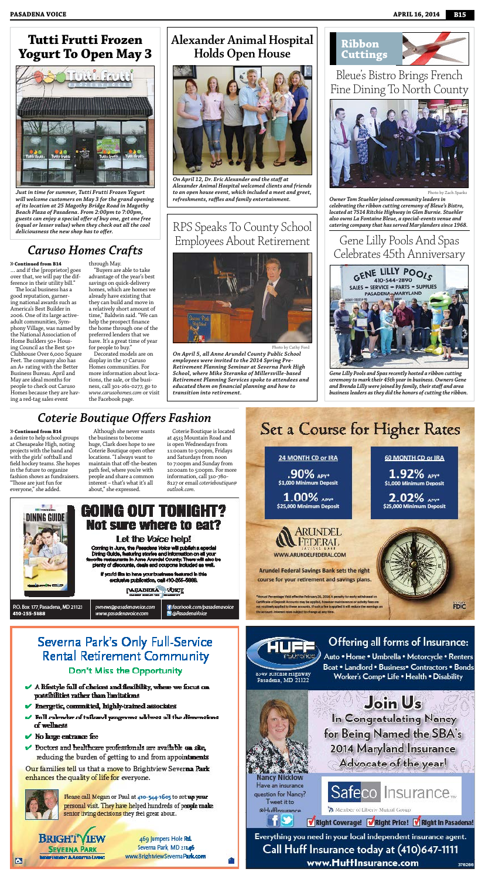a desire to help school groups at Chesapeake High, noting projects with the band and with the girls' softball and field hockey teams. She hopes in the future to organize fashion shows as fundraisers. "Those are just fun for everyone," she added.

Although she never wants the business to become huge, Clark does hope to see Coterie Boutique open other locations. "I always want to maintain that off-the-beaten path feel, where you're with people and share a common interest – that's what it's all about," she expressed.

Coterie Boutique is located at 4513 Mountain Road and is open Wednesdays from 11:00am to 5:00pm, Fridays and Saturdays from noon to 7:00pm and Sunday from 10:00am to 5:00pm. For more information, call 310-780- 8127 or email *coterieboutique@ outlook.com*.





#### GOING O Not sure where to eat?

#### Let the Voice help!

Coming in June, the Peredens Voice will publish a special Dining Guide, featuring stories and information on all your favorite restaurante in Anne Arundai County, There will also be<br>plenty of discounts, deals and coupons included as well.

> If you'd like to have your business featured in this exclusive publication, call 410-255-5999.

> > **PASADERA VOKE**

P.O. Box 177, Pasadena, MD 21123 410-255-5888

pvnews@pasadenavoice.com www.pasadenavoice.com

fi facebook.com/pasadenavoice **B**@PasadenaVoice

\$25,000 Minimum Deposit



**Arundel Federal Savings Bank sets the right** course for your retirement and savings plans.

\*Annual Percentage Vield effective February 26, 2014. A perialty for early withdrawal on Certificate of Deposit Accounts may be applied, however quintenance or activity fees are not routinely applied to these accounts. If such a fee is applied it will reduce the earnings on the account, interest rates subject to change at any time.

### Severna Park's Only Full-Service **Rental Retirement Community** Don't Miss the Opportunity

- $\blacktriangleright$  A lifestyle full of choices and flexibility, where we focus on possibilities rather than limitations
- Energetic, committed, highly-trained associates
- $\blacktriangleright$  Full calendar of tailored programs address all the dimensions of wellness
- No large entrance fee
- $\checkmark$  Doctors and healthcare professionals are available on site. reducing the burden of getting to and from appointments

Our families tell us that a move to Brightview Severna Park enhances the quality of life for everyone.



ы

Please call Megan or Paul at 410-544-1605 to set up your personal visit. They have helped hundreds of people make senior living decisions they feel great about.

**BRIGHT SEVERNA PARK NT & ASSITED LIVING** 

469 Jumpers Hole Rd. Severna Park, MD 21146 www.BrightviewSevernaPark.com

Offering all forms of Insurance:

Auto . Home . Umbrella . Motorcycle . Renters Boat . Landlord . Business. Contractors . Bonds Worker's Comp<sup>®</sup> Life . Health . Disability

8349 Ritchie Highway Pasadena, MD 21122

> Join Us In Congratulating Nancy for Being Named the SBA's 2014 Maryland Insurance Advocate of the year!

**Nancy Nicklow** Have an insurance question for Nancy? Tweet it to @Hufflnsurance



Right Coverage! Might Price! Might in Pasadena!

Member of Liberty Mutual Group

Everything you need in your local independent insurance agent. Call Huff Insurance today at (410)647-1111 www.Hufflnsurance.com 376266

## *Coterie Boutique Offers Fashion*

#### »**Continued from B14**

… and if the [proprietor] goes over that, we will pay the difference in their utility bill."

The local business has a good reputation, garnering national awards such as America's Best Builder in 2006. One of its large activeadult communities, Symphony Village, was named by the National Association of Home Builders 50+ Housing Council as the Best 50+ Clubhouse Over 6,000 Square Feet. The company also has an A+ rating with the Better Business Bureau. April and May are ideal months for people to check out Caruso Homes because they are having a red-tag sales event

#### through May.

"Buyers are able to take advantage of the year's best savings on quick-delivery homes, which are homes we already have existing that they can build and move in a relatively short amount of time," Baldwin said. "We can help the prospect finance the home through one of the preferred lenders that we have. It's a great time of year for people to buy."

Decorated models are on display in the 17 Caruso Homes communities. For more information about locations, the sale, or the business, call 301-261-0277, go to *www.carusohomes.com* or visit the Facebook page.

#### »**Continued from B14**

## *Caruso Homes Crafts*



Photo by Zach Sparks

*Owner Tom Stuehler joined community leaders in celebrating the ribbon cutting ceremony of Bleue's Bistro, located at 7514 Ritchie Highway in Glen Burnie. Stuehler also owns La Fontaine Bleue, a special-events venue and catering company that has served Marylanders since 1968.*

Bleue's Bistro Brings French Fine Dining To North County

#### **Ribbon Cuttings**





*Gene Lilly Pools and Spas recently hosted a ribbon cutting ceremony to mark their 45th year in business. Owners Gene and Brenda Lilly were joined by family, their staff and area business leaders as they did the honors of cutting the ribbon.*

\$25,000 Minimum Deposit

**FDIC** 

### Gene Lilly Pools And Spas Celebrates 45th Anniversary



*On April 12, Dr. Eric Alexander and the staff at Alexander Animal Hospital welcomed clients and friends to an open house event, which included a meet and greet, refreshments, raffles and family entertainment.*

### **Alexander Animal Hospital Holds Open House**

*Just in time for summer, Tutti Frutti Frozen Yogurt will welcome customers on May 3 for the grand opening of its location at 25 Magothy Bridge Road in Magothy Beach Plaza of Pasadena. From 2:00pm to 7:00pm, guests can enjoy a special offer of buy one, get one free (equal or lesser value) when they check out all the cool deliciousness the new shop has to offer.*

#### **Tutti Frutti Frozen Yogurt To Open May 3**



Photo by Cathy Ford

*On April 5, all Anne Arundel County Public School employees were invited to the 2014 Spring Pre-Retirement Planning Seminar at Severna Park High School, where Mike Steranka of Millersville-based Retirement Planning Services spoke to attendees and educated them on financial planning and how to transition into retirement.*

### RPS Speaks To County School Employees About Retirement